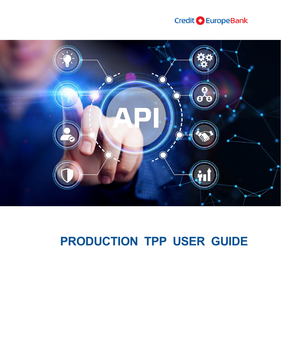



# **PRODUCTION TPP USER GUIDE**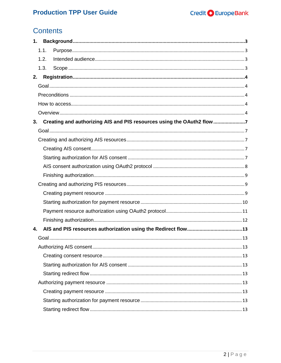# **Contents**

| 1.                                                                          |  |
|-----------------------------------------------------------------------------|--|
| 1.1.                                                                        |  |
| 1.2.                                                                        |  |
| 1.3.                                                                        |  |
| 2.                                                                          |  |
|                                                                             |  |
|                                                                             |  |
|                                                                             |  |
|                                                                             |  |
| Creating and authorizing AIS and PIS resources using the OAuth2 flow7<br>3. |  |
|                                                                             |  |
|                                                                             |  |
|                                                                             |  |
|                                                                             |  |
|                                                                             |  |
|                                                                             |  |
|                                                                             |  |
|                                                                             |  |
|                                                                             |  |
|                                                                             |  |
|                                                                             |  |
| 4.                                                                          |  |
|                                                                             |  |
|                                                                             |  |
|                                                                             |  |
|                                                                             |  |
|                                                                             |  |
|                                                                             |  |
|                                                                             |  |
|                                                                             |  |
|                                                                             |  |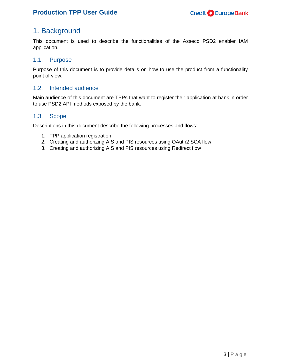# <span id="page-2-0"></span>1. Background

This document is used to describe the functionalities of the Asseco PSD2 enabler IAM application.

### <span id="page-2-1"></span>1.1. Purpose

Purpose of this document is to provide details on how to use the product from a functionality point of view.

### <span id="page-2-2"></span>1.2. Intended audience

Main audience of this document are TPPs that want to register their application at bank in order to use PSD2 API methods exposed by the bank.

### <span id="page-2-3"></span>1.3. Scope

Descriptions in this document describe the following processes and flows:

- 1. TPP application registration
- 2. Creating and authorizing AIS and PIS resources using OAuth2 SCA flow
- 3. Creating and authorizing AIS and PIS resources using Redirect flow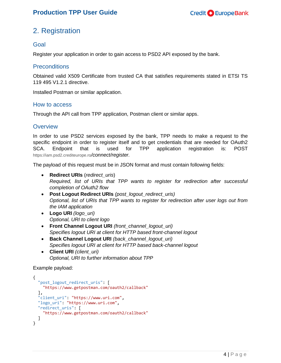# <span id="page-3-0"></span>2. Registration

### <span id="page-3-1"></span>Goal

Register your application in order to gain access to PSD2 API exposed by the bank.

### <span id="page-3-2"></span>Preconditions

Obtained valid X509 Certificate from trusted CA that satisfies requirements stated in ETSI TS 119 495 V1.2.1 directive.

Installed Postman or similar application.

### <span id="page-3-3"></span>How to access

Through the API call from TPP application, Postman client or similar apps.

### <span id="page-3-4"></span>**Overview**

In order to use PSD2 services exposed by the bank, TPP needs to make a request to the specific endpoint in order to register itself and to get credentials that are needed for OAuth2 SCA. Endpoint that is used for TPP application registration is: POST https://iam.psd2.crediteurope.ro*/connect/register.*

The payload of this request must be in JSON format and must contain following fields:

- **Redirect URIs** (*redirect\_uris*) *Required, list of URIs that TPP wants to register for redirection after successful completion of OAuth2 flow*
- **Post Logout Redirect URIs** *(post\_logout\_redirect\_uris) Optional, list of URIs that TPP wants to register for redirection after user logs out from the IAM application*
- **Logo URI** *(logo\_uri) Optional, URI to client logo*
- **Front Channel Logout URI** *(front\_channel\_logout\_uri) Specifies logout URI at client for HTTP based front-channel logout*
- **Back Channel Logout URI** *(back\_channel\_logout\_uri) Specifies logout URI at client for HTTP based back-channel logout*
- **Client URI** *(client\_uri) Optional, URI to further information about TPP*

### Example payload:

```
{
   "post_logout_redirect_uris": [
     "https://www.getpostman.com/oauth2/callback"
 ],
 "client_uri": "https://www.uri.com",
   "logo_uri": "https://www.uri.com",
  "redirect_uris": [
     "https://www.getpostman.com/oauth2/callback"
  ]
}
```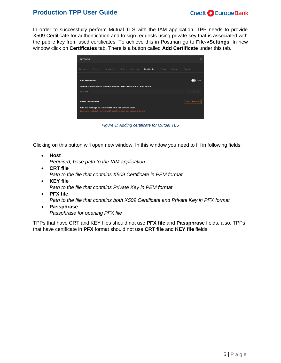

In order to successfully perform Mutual TLS with the IAM application, TPP needs to provide X509 Certificate for authentication and to sign requests using private key that is associated with the public key from used certificates. To achieve this in Postman go to **File->Settings**. In new window click on **Certificates** tab. There is a button called **Add Certificate** under this tab.

| <b>SETTINGS</b>            |        |                                                                                                                              |      |         |                     |       |        |                 |  |
|----------------------------|--------|------------------------------------------------------------------------------------------------------------------------------|------|---------|---------------------|-------|--------|-----------------|--|
| General                    | Themes | <b>Shortcuts</b>                                                                                                             | Data | Add-ons | <b>Certificates</b> | Proxy | Update | About           |  |
| <b>CA Certificates</b>     |        | The file should consist of one or more trusted certificates in PEM format.                                                   |      |         |                     |       |        |                 |  |
| PFM file                   |        |                                                                                                                              |      |         |                     |       |        | Choos           |  |
| <b>Client Certificates</b> |        |                                                                                                                              |      |         |                     |       |        | Add Certificate |  |
|                            |        | Add and manage SSL certificates on a per domain basis.<br>Learn more about working with certificates at our Learning Center. |      |         |                     |       |        |                 |  |

*Figure 1: Adding certificate for Mutual TLS*

Clicking on this button will open new window. In this window you need to fill in following fields:

- **Host** *Required, base path to the IAM application*
- **CRT file** *Path to the file that contains X509 Certificate in PEM format*
- **KEY file** *Path to the file that contains Private Key in PEM format* **PFX file**
	- *Path to the file that contains both X509 Certificate and Private Key in PFX format*
- **Passphrase** *Passphrase for opening PFX file*

TPPs that have CRT and KEY files should not use **PFX file** and **Passphrase** fields, also, TPPs that have certificate in **PFX** format should not use **CRT file** and **KEY file** fields.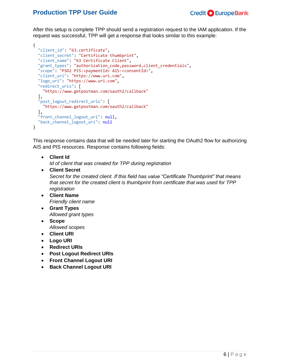

After this setup is complete TPP should send a registration request to the IAM application. If the request was successful, TPP will get a response that looks similar to this example:

```
{
   "client_id": "63.certificate",
   "client_secret": "Certificate thumbprint",
 "client_name": "63 Certificate Client",
 "grant_types": "authorization_code,password,client_credentials",
   "scope": "PSD2 PIS:<paymentId> AIS:<consentId>",
   "client_uri": "https://www.uri.com",
   "logo_uri": "https://www.uri.com",
   "redirect_uris": [
     "https://www.getpostman.com/oauth2/callback"
   ],
   "post_logout_redirect_uris": [
    "https://www.getpostman.com/oauth2/callback"
 ],
 "front_channel_logout_uri": null,
  "back channel logout uri": null
}
```
This response contains data that will be needed later for starting the OAuth2 flow for authorizing AIS and PIS resources. Response contains following fields:

**Client Id** 

*Id of client that was created for TPP during registration*

**Client Secret**

*Secret for the created client. If this field has value "Certificate Thumbprint" that means that secret for the created client is thumbprint from certificate that was used for TPP registration*

- **Client Name** *Friendly client name*
- **Grant Types** *Allowed grant types*
- **Scope** *Allowed scopes*
- **Client URI**
- **Logo URI**
- **Redirect URIs**
- **Post Logout Redirect URIs**
- **Front Channel Logout URI**
- **Back Channel Logout URI**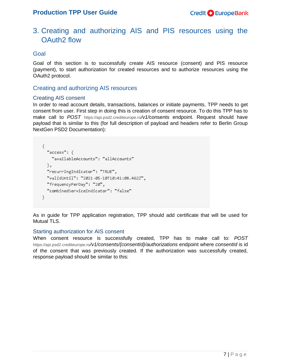### <span id="page-6-0"></span>3. Creating and authorizing AIS and PIS resources using the OAuth2 flow

### <span id="page-6-1"></span>Goal

Goal of this section is to successfully create AIS resource (consent) and PIS resource (payment), to start authorization for created resources and to authorize resources using the OAuth2 protocol.

### <span id="page-6-2"></span>Creating and authorizing AIS resources

### <span id="page-6-3"></span>Creating AIS consent

In order to read account details, transactions, balances or initiate payments, TPP needs to get consent from user. First step in doing this is creation of consent resource. To do this TPP has to make call to *POST* https://api.psd2.crediteurope.ro*/v1/*consents endpoint. Request should have payload that is similar to this (for full description of payload and headers refer to Berlin Group NextGen PSD2 Documentation):

```
€
  "access": {
   "availableAccounts": "allAccounts"
  },
  "recurringIndicator": "TRUE",
  "validUntil": "2021-05-10T10:41:08.462Z",
  "frequencyPerDay": "20",
  "combinedServiceIndicator": "false"
ŀ.
```
As in guide for TPP application registration, TPP should add certificate that will be used for Mutual TLS.

#### <span id="page-6-4"></span>Starting authorization for AIS consent

When consent resource is successfully created, TPP has to make call to: *POST*  https://api.psd2.crediteurope.ro*/v1/consents/{consentId}/authorizations* endpoint where *consentId* is id of the consent that was previously created. If the authorization was successfully created, response payload should be similar to this: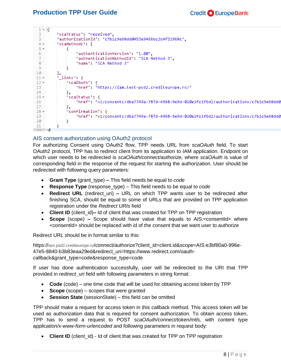L.

| ⊥⊤เ    |                                                                                       |
|--------|---------------------------------------------------------------------------------------|
|        | "scaStatus", "received",                                                              |
| З.     | "authorizationId": "c7b1c9e68dd0453e9466bc2c4f32968c",                                |
| $4 -$  | "scaMethods": [                                                                       |
| 5 +    |                                                                                       |
| 6.     | "authenticationVersion" "1.00",                                                       |
|        | "authenticationMethodId": "SCA Method 3",                                             |
| 8      | "name": "SCA Method 3"                                                                |
| 9      |                                                                                       |
| 10     | J,                                                                                    |
| $11 -$ | " links": {                                                                           |
| $12 -$ | "scaOAuth" {                                                                          |
| 13     | "href" "https://iam.test-psd2.crediteurope.ro/"                                       |
| 14     | у,                                                                                    |
| $15 -$ | "scaStatus": {                                                                        |
| 16     | "href": "v1/consents/dba7749a-787d-4968-9e9d-020e2fc1f6d2/authorisations/c7b1c9e68dd0 |
| 17     | },                                                                                    |
| $18 -$ | "confirmation" {                                                                      |
| 19     | "href": "v1/consents/dba7749a-787d-4968-9e9d-020e2fc1f6d2/authorisations/c7b1c9e68dd0 |
| 20     |                                                                                       |
| 21     |                                                                                       |
| COL.   | ъL.                                                                                   |

### <span id="page-7-0"></span>AIS consent authorization using OAuth2 protocol

For authorizing Consent using OAuth2 flow, TPP needs URL from *scaOAuth* field*.* To start OAuth2 protocol, TPP has to redirect client from its application to IAM application. Endpoint on which user needs to be redirected is *scaOAuth/connect/authorize,* where *scaOAuth* is value of corresponding field in the response of the request for starting the authorization. User should be redirected with following query parameters:

- **Grant Type** (grant\_type) **–** This field needs be equal to *code*
- **Response Type** (response\_type) This field needs to be equal to *code*
- **Redirect URL** (redirect\_uri) **–** URL on which TPP wants user to be redirected after finishing SCA, should be equal to some of URLs that are provided on TPP application registration under the *Redirect URIs* field
- Client ID (client id)– Id of client that was created for TPP on TPP registration
- **Scope** (scope) Scope should have value that equals to AIS:<consentId> where <consentId> should be replaced with id of the consent that we want user to authorize

Redirect URL should be in format similar to this:

https://iam.psd2.crediteurope.ro/connect/authorize?client\_id=client.id&scope=AIS:e3bf80a0-996e-47e5-8840-b3b83eaa29ed&redirect\_uri=https://www.redirect.com/oauthcallback&grant\_type=code&response\_type=code

If user has done authentication successfully, user will be redirected to the URI that TPP provided in *redirect\_uri* field with following parameters in string format:

- **Code** (code) one time code that will be used for obtaining access token by TPP
- **Scope** (scope) scopes that were granted
- **Session State** (sessionState) this field can be omitted

TPP should make a request for access token in this callback method. This access token will be used as authorization data that is required for consent authorization. To obtain access token, TPP has to send a request to POST *scaOAuth/connect/token/mtls,* with content type *application/x-www-form-urlencoded* and following parameters in request body:

• Client ID (client id) - Id of client that was created for TPP on TPP registration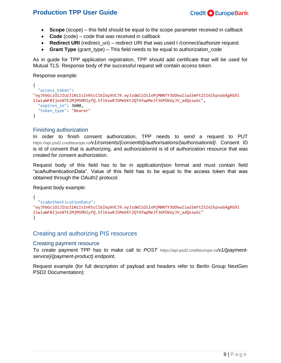- **Scope** (scope) this field should be equal to the scope parameter received in callback
- Code (code) code that was received in callback
- **Redirect URI** (redirect\_uri) redirect URI that was used I */connect/authorize* request
- **Grant Type** (grant type) This field needs to be equal to authorization code

As in guide for TPP application registration, TPP should add certificate that will be used for Mutual TLS. Response body of the successful request will contain access token.

Response example:

```
{
   "access_token": 
"eyJhbGciOiJIUzI1NiIsInR5cCI6IkpXVCJ9.eyJzdWIiOiIxMjM0NTY3ODkwIiwibmFtZSI6IkpvaG4gRG9l
IiwiaWF0IjoxNTE2MjM5MDIyfQ.SflKxwRJSMeKKF2QT4fwpMeJf36POk6yJV_adQssw5c",
   "expires_in": 3600,
   "token_type": "Bearer"
}
```
### <span id="page-8-0"></span>Finishing authorization

In order to finish consent authorization, TPP needs to send a request to PUT https://api.psd2.crediteurope.ro*/v1/consents/{consentId}/authorisations/{authorisationId}*. Consent ID is id of consent that is authorizing, and authorizationId is id of authorization resource that was created for consent authorization.

Request body of this field has to be in application/json format and must contain field "scaAuthenticationData". Value of this field has to be equal to the access token that was obtained through the OAuth2 protocol.

Request body example:

```
{
   "scaAuthenticationData": 
"eyJhbGciOiJIUzI1NiIsInR5cCI6IkpXVCJ9.eyJzdWIiOiIxMjM0NTY3ODkwIiwibmFtZSI6IkpvaG4gRG9l
IiwiaWF0IjoxNTE2MjM5MDIyfQ.SflKxwRJSMeKKF2QT4fwpMeJf36POk6yJV_adQssw5c"
}
```
### <span id="page-8-1"></span>Creating and authorizing PIS resources

#### <span id="page-8-2"></span>Creating payment resource

To create payment TPP has to make call to *POST* https://api.psd2.crediteurope.ro*/v1/{paymentservice}/{payment-product}* endpoint.

Request example (for full description of payload and headers refer to Berlin Group NextGen PSD2 Documentation):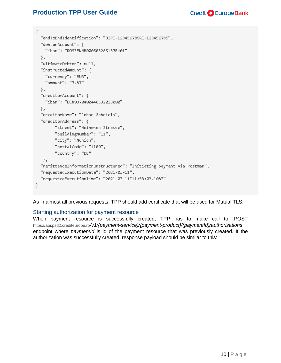```
€
  "endToEndIdentification": "BIPI-123456789RI-123456789",
  "debtorAccount": {
    "iban": "RO93FNNB000503285137EU01"
  },
  "ultimateDebtor": null,
  "instructedAmount": \{"currency": "EUR",
    "amount": "7.87"
  },
  "creditorAccount": {
    "iban": "DE89370400440532013000"
 },
  "creditorName": "Johan Gabriels",
  "creditorAddress": {
        "street": "Heineken Strasse",
        "buildingNumber": "11",
        "city": "Munich",
        "postalCode": "1100",
        "country": "DE"
  \},
  "remittanceInformationUnstructured": "Initiating payment via Postman",
  "requestedExecutionDate": "2021-03-11",
  "requestedExecutionTime": "2021-03-11T11:53:03.108Z"
ł.
```
As in almost all previous requests, TPP should add certificate that will be used for Mutual TLS.

#### <span id="page-9-0"></span>Starting authorization for payment resource

When payment resource is successfully created, TPP has to make call to: POST https://api.psd2.crediteurope.ro*/v1/{payment-service}/{payment-product}/{paymentId}/authorisations*  endpoint where *paymentId* is id of the payment resource that was previously created. If the authorization was successfully created, response payload should be similar to this: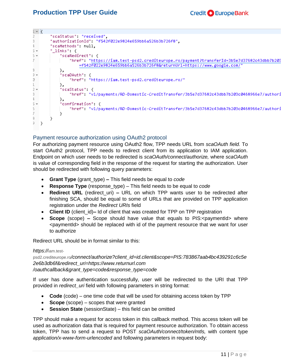

### <span id="page-10-0"></span>Payment resource authorization using OAuth2 protocol

For authorizing payment resource using OAuth2 flow, TPP needs URL from *scaOAuth field.* To start OAuth2 protocol, TPP needs to redirect client from its application to IAM application. Endpoint on which user needs to be redirected is *scaOAuth/connect/authorize,* where *scaOAuth*  is value of corresponding field in the response of the request for starting the authorization. User should be redirected with following query parameters:

- **Grant Type** (grant\_type) **–** This field needs be equal to *code*
- **Response Type** (response\_type) This field needs to be equal to *code*
- **Redirect URL** (redirect\_uri) **–** URL on which TPP wants user to be redirected after finishing SCA, should be equal to some of URLs that are provided on TPP application registration under the *Redirect URIs* field
- **Client ID** (client\_id)**–** Id of client that was created for TPP on TPP registration
- **Scope** (scope) Scope should have value that equals to PIS: < paymentId> where <paymentId> should be replaced with id of the payment resource that we want for user to authorize

Redirect URL should be in format similar to this:

#### *https://*iam.test-

psd2.crediteurope.ro*/connect/authorize?client\_id=id.client&scope=PIS:783867aab4bc439291c6c5e 2e6b3db6f&redirect\_uri=https://www.returnurl.com* 

*/oauthcallback&grant\_type=code&response\_type=code*

If user has done authentication successfully, user will be redirected to the URI that TPP provided in *redirect\_uri* field with following parameters in string format:

- **Code** (code) one time code that will be used for obtaining access token by TPP
- **Scope** (scope) scopes that were granted
- **Session State** (sessionState) this field can be omitted

TPP should make a request for access token in this callback method. This access token will be used as authorization data that is required for payment resource authorization. To obtain access token, TPP has to send a request to POST *scaOAuth/connect/token/mtls,* with content type *application/x-www-form-urlencoded* and following parameters in request body: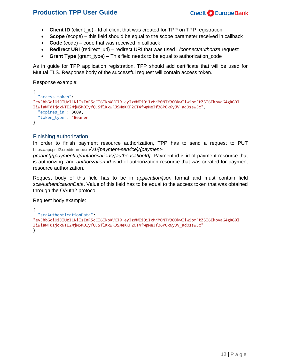- **Client ID** (client\_id) Id of client that was created for TPP on TPP registration
- **Scope** (scope) this field should be equal to the scope parameter received in callback
- Code (code) code that was received in callback
- **Redirect URI** (redirect uri) redirect URI that was used I */connect/authorize* request
- **Grant Type** (grant type) This field needs to be equal to authorization code

As in guide for TPP application registration, TPP should add certificate that will be used for Mutual TLS. Response body of the successful request will contain access token.

Response example:

```
{
   "access_token": 
"eyJhbGciOiJIUzI1NiIsInR5cCI6IkpXVCJ9.eyJzdWIiOiIxMjM0NTY3ODkwIiwibmFtZSI6IkpvaG4gRG9l
IiwiaWF0IjoxNTE2MjM5MDIyfQ.SflKxwRJSMeKKF2QT4fwpMeJf36POk6yJV_adQssw5c",
   "expires_in": 3600,
   "token_type": "Bearer"
}
```
### <span id="page-11-0"></span>Finishing authorization

In order to finish payment resource authorization, TPP has to send a request to PUT https://api.psd2.crediteurope.ro*/v1/{payment-service}/{payment-*

*product}/{paymentId}/authorisations/{authorisationId}*. Payment id is id of payment resource that is authorizing, and *authorization id* is id of authorization resource that was created for payment resource authorization.

Request body of this field has to be in *application/json* format and must contain field *scaAuthenticationData*. Value of this field has to be equal to the access token that was obtained through the OAuth2 protocol.

Request body example:

```
{
   "scaAuthenticationData": 
"eyJhbGciOiJIUzI1NiIsInR5cCI6IkpXVCJ9.eyJzdWIiOiIxMjM0NTY3ODkwIiwibmFtZSI6IkpvaG4gRG9l
IiwiaWF0IjoxNTE2MjM5MDIyfQ.SflKxwRJSMeKKF2QT4fwpMeJf36POk6yJV_adQssw5c"
}
```